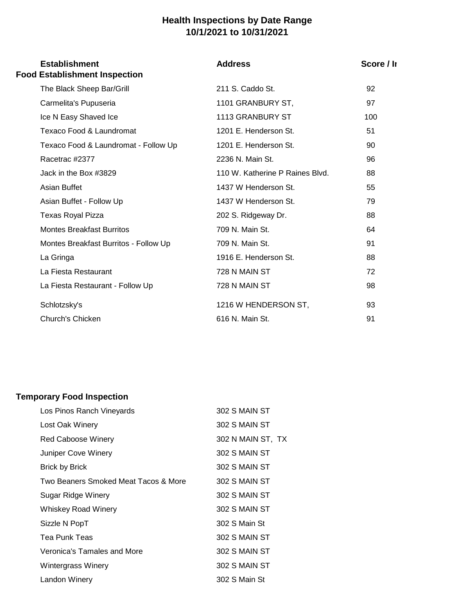## **Health Inspections by Date Range 10/1/2021 to 10/31/2021**

| <b>Establishment</b><br><b>Food Establishment Inspection</b> | <b>Address</b>                  | Score / Ir |  |
|--------------------------------------------------------------|---------------------------------|------------|--|
| The Black Sheep Bar/Grill                                    | 211 S. Caddo St.                | 92         |  |
| Carmelita's Pupuseria                                        | 1101 GRANBURY ST,               | 97         |  |
| Ice N Easy Shaved Ice                                        | 1113 GRANBURY ST                | 100        |  |
| Texaco Food & Laundromat                                     | 1201 E. Henderson St.           | 51         |  |
| Texaco Food & Laundromat - Follow Up                         | 1201 E. Henderson St.           | 90         |  |
| Racetrac #2377                                               | 2236 N. Main St.                | 96         |  |
| Jack in the Box #3829                                        | 110 W. Katherine P Raines Blvd. | 88         |  |
| Asian Buffet                                                 | 1437 W Henderson St.            | 55         |  |
| Asian Buffet - Follow Up                                     | 1437 W Henderson St.            | 79         |  |
| <b>Texas Royal Pizza</b>                                     | 202 S. Ridgeway Dr.             | 88         |  |
| <b>Montes Breakfast Burritos</b>                             | 709 N. Main St.                 | 64         |  |
| Montes Breakfast Burritos - Follow Up                        | 709 N. Main St.                 | 91         |  |
| La Gringa                                                    | 1916 E. Henderson St.           | 88         |  |
| La Fiesta Restaurant                                         | 728 N MAIN ST                   | 72         |  |
| La Fiesta Restaurant - Follow Up                             | 728 N MAIN ST                   | 98         |  |
| Schlotzsky's                                                 | 1216 W HENDERSON ST,            | 93         |  |
| Church's Chicken                                             | 616 N. Main St.                 | 91         |  |

## **Temporary Food Inspection**

| Los Pinos Ranch Vineyards            | 302 S MAIN ST     |
|--------------------------------------|-------------------|
| Lost Oak Winery                      | 302 S MAIN ST     |
| Red Caboose Winery                   | 302 N MAIN ST, TX |
| Juniper Cove Winery                  | 302 S MAIN ST     |
| Brick by Brick                       | 302 S MAIN ST     |
| Two Beaners Smoked Meat Tacos & More | 302 S MAIN ST     |
| Sugar Ridge Winery                   | 302 S MAIN ST     |
| Whiskey Road Winery                  | 302 S MAIN ST     |
| Sizzle N PopT                        | 302 S Main St     |
| Tea Punk Teas                        | 302 S MAIN ST     |
| Veronica's Tamales and More          | 302 S MAIN ST     |
| Wintergrass Winery                   | 302 S MAIN ST     |
| Landon Winery                        | 302 S Main St     |